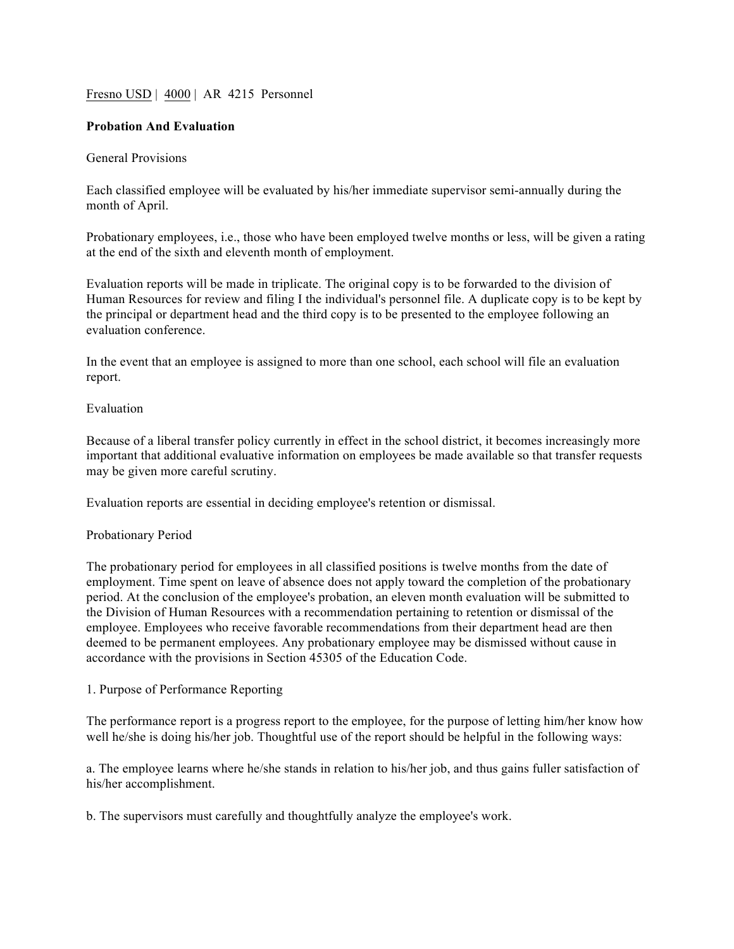## Fresno USD | 4000 | AR 4215 Personnel

## **Probation And Evaluation**

## General Provisions

Each classified employee will be evaluated by his/her immediate supervisor semi-annually during the month of April.

Probationary employees, i.e., those who have been employed twelve months or less, will be given a rating at the end of the sixth and eleventh month of employment.

Evaluation reports will be made in triplicate. The original copy is to be forwarded to the division of Human Resources for review and filing I the individual's personnel file. A duplicate copy is to be kept by the principal or department head and the third copy is to be presented to the employee following an evaluation conference.

In the event that an employee is assigned to more than one school, each school will file an evaluation report.

### Evaluation

Because of a liberal transfer policy currently in effect in the school district, it becomes increasingly more important that additional evaluative information on employees be made available so that transfer requests may be given more careful scrutiny.

Evaluation reports are essential in deciding employee's retention or dismissal.

#### Probationary Period

The probationary period for employees in all classified positions is twelve months from the date of employment. Time spent on leave of absence does not apply toward the completion of the probationary period. At the conclusion of the employee's probation, an eleven month evaluation will be submitted to the Division of Human Resources with a recommendation pertaining to retention or dismissal of the employee. Employees who receive favorable recommendations from their department head are then deemed to be permanent employees. Any probationary employee may be dismissed without cause in accordance with the provisions in Section 45305 of the Education Code.

#### 1. Purpose of Performance Reporting

The performance report is a progress report to the employee, for the purpose of letting him/her know how well he/she is doing his/her job. Thoughtful use of the report should be helpful in the following ways:

a. The employee learns where he/she stands in relation to his/her job, and thus gains fuller satisfaction of his/her accomplishment.

b. The supervisors must carefully and thoughtfully analyze the employee's work.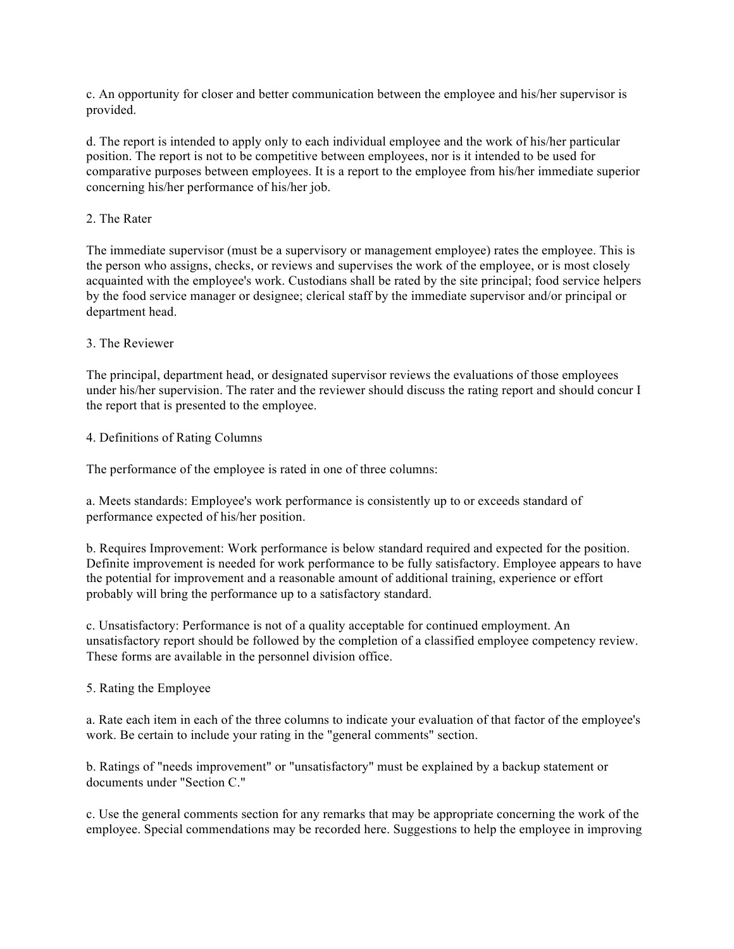c. An opportunity for closer and better communication between the employee and his/her supervisor is provided.

d. The report is intended to apply only to each individual employee and the work of his/her particular position. The report is not to be competitive between employees, nor is it intended to be used for comparative purposes between employees. It is a report to the employee from his/her immediate superior concerning his/her performance of his/her job.

# 2. The Rater

The immediate supervisor (must be a supervisory or management employee) rates the employee. This is the person who assigns, checks, or reviews and supervises the work of the employee, or is most closely acquainted with the employee's work. Custodians shall be rated by the site principal; food service helpers by the food service manager or designee; clerical staff by the immediate supervisor and/or principal or department head.

## 3. The Reviewer

The principal, department head, or designated supervisor reviews the evaluations of those employees under his/her supervision. The rater and the reviewer should discuss the rating report and should concur I the report that is presented to the employee.

## 4. Definitions of Rating Columns

The performance of the employee is rated in one of three columns:

a. Meets standards: Employee's work performance is consistently up to or exceeds standard of performance expected of his/her position.

b. Requires Improvement: Work performance is below standard required and expected for the position. Definite improvement is needed for work performance to be fully satisfactory. Employee appears to have the potential for improvement and a reasonable amount of additional training, experience or effort probably will bring the performance up to a satisfactory standard.

c. Unsatisfactory: Performance is not of a quality acceptable for continued employment. An unsatisfactory report should be followed by the completion of a classified employee competency review. These forms are available in the personnel division office.

## 5. Rating the Employee

a. Rate each item in each of the three columns to indicate your evaluation of that factor of the employee's work. Be certain to include your rating in the "general comments" section.

b. Ratings of "needs improvement" or "unsatisfactory" must be explained by a backup statement or documents under "Section C."

c. Use the general comments section for any remarks that may be appropriate concerning the work of the employee. Special commendations may be recorded here. Suggestions to help the employee in improving